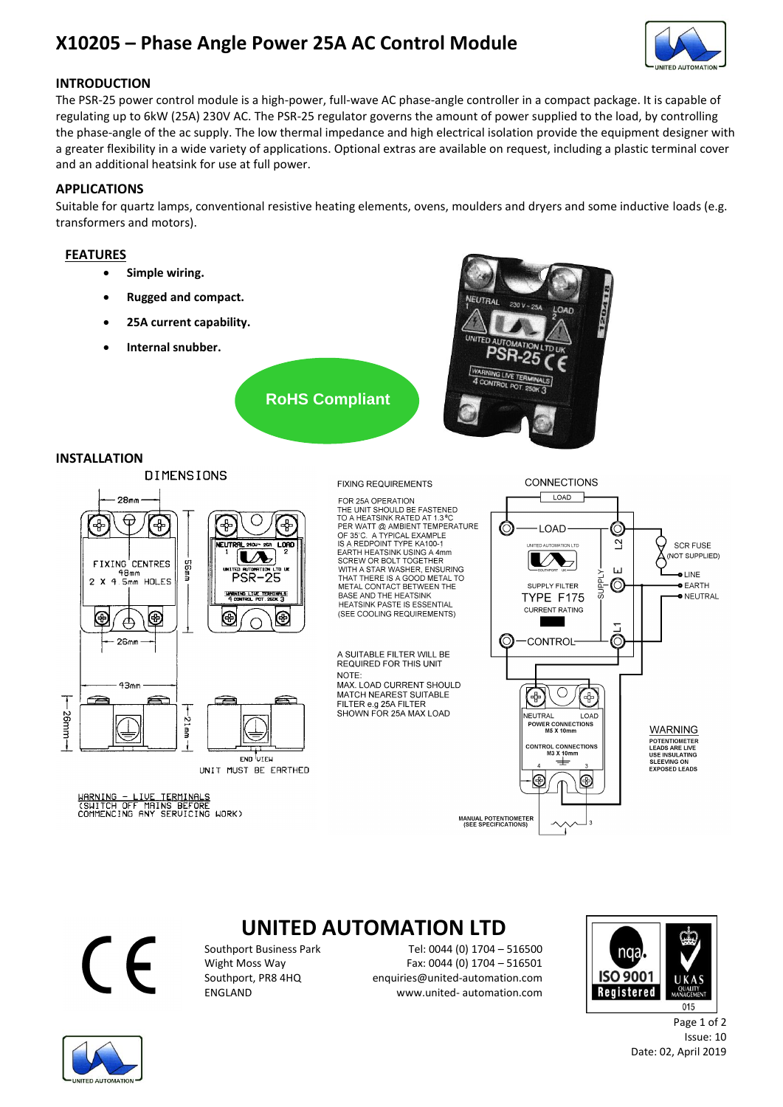## **X10205 – Phase Angle Power 25A AC Control Module**



## **INTRODUCTION**

The PSR-25 power control module is a high-power, full-wave AC phase-angle controller in a compact package. It is capable of regulating up to 6kW (25A) 230V AC. The PSR-25 regulator governs the amount of power supplied to the load, by controlling the phase-angle of the ac supply. The low thermal impedance and high electrical isolation provide the equipment designer with a greater flexibility in a wide variety of applications. Optional extras are available on request, including a plastic terminal cover and an additional heatsink for use at full power.

## **APPLICATIONS**

Suitable for quartz lamps, conventional resistive heating elements, ovens, moulders and dryers and some inductive loads (e.g. transformers and motors).

## **FEATURES**

- **Simple wiring.**
- **Rugged and compact.**
- **25A current capability.**
- **Internal snubber.**



#### **INSTALLATION**



#### **FIXING REQUIREMENTS**

**RoHS Compliant**

FOR 25A OPERATION FOR 25A OPERATION<br>THE UNIT SHOULD BE FASTENED<br>TO A HEATSINK RATED AT 1.3 °C<br>PER WATT @ AMBIENT TEMPERATURE<br>OF 35°C. A TYPICAL EXAMPLE<br>IS A REDPOINT TYPE KA100-1 EARTH HEATSINK USING A 4mm<br>SCREW OR BOLT TOGETHER<br>WITH A STAR WASHER, ENSURING THAT THERE IS A GOOD METAL TO<br>METAL CONTACT BETWEEN THE<br>BASE AND THE HEATSINK HEATSINK PASTE IS ESSENTIAL<br>(SEE COOLING REQUIREMENTS)

A SUITABLE FILTER WILL BE REQUIRED FOR THIS UNIT **NOTE** MAX. LOAD CURRENT SHOULD MATCH NEAREST SUITABLE

FILTER e.g 25A FILTER<br>SHOWN FOR 25A MAX LOAD





## **UNITED AUTOMATION LTD**

Southport Business Park Tel: 0044 (0) 1704 – 516500<br>Wight Moss Way Fax: 0044 (0) 1704 – 516501 Fax: 0044 (0) 1704 - 516501 Southport, PR8 4HQ enquiries@united-automation.com ENGLAND www.united- automation.com





Page 1 of 2 Issue: 10 Date: 02, April 2019